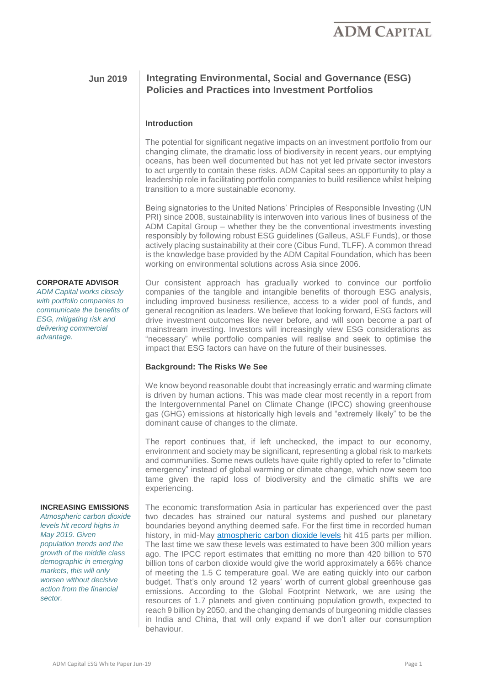### **Jun 2019 Integrating Environmental, Social and Governance (ESG) Policies and Practices into Investment Portfolios**

#### **Introduction**

The potential for significant negative impacts on an investment portfolio from our changing climate, the dramatic loss of biodiversity in recent years, our emptying oceans, has been well documented but has not yet led private sector investors to act urgently to contain these risks. ADM Capital sees an opportunity to play a leadership role in facilitating portfolio companies to build resilience whilst helping transition to a more sustainable economy.

Being signatories to the United Nations' Principles of Responsible Investing (UN PRI) since 2008, sustainability is interwoven into various lines of business of the ADM Capital Group – whether they be the conventional investments investing responsibly by following robust ESG guidelines (Galleus, ASLF Funds), or those actively placing sustainability at their core (Cibus Fund, TLFF). A common thread is the knowledge base provided by the ADM Capital Foundation, which has been working on environmental solutions across Asia since 2006.

#### **CORPORATE ADVISOR**

*ADM Capital works closely with portfolio companies to communicate the benefits of ESG, mitigating risk and delivering commercial advantage.*

#### the Intergovernmental Panel on Climate Change (IPCC) showing greenhouse gas (GHG) emissions at historically high levels and "extremely likely" to be the

dominant cause of changes to the climate.

The report continues that, if left unchecked, the impact to our economy, environment and society may be significant, representing a global risk to markets and communities. Some news outlets have quite rightly opted to refer to "climate emergency" instead of global warming or climate change, which now seem too tame given the rapid loss of biodiversity and the climatic shifts we are experiencing.

We know beyond reasonable doubt that increasingly erratic and warming climate is driven by human actions. This was made clear most recently in a report from

The economic transformation Asia in particular has experienced over the past two decades has strained our natural systems and pushed our planetary boundaries beyond anything deemed safe. For the first time in recorded human history, in mid-May [atmospheric carbon dioxide levels](https://www.scientificamerican.com/article/co2-levels-just-hit-another-record-heres-why-it-matters/?redirect=1) hit 415 parts per million. The last time we saw these levels was estimated to have been 300 million years ago. The IPCC report estimates that emitting no more than 420 billion to 570 billion tons of carbon dioxide would give the world approximately a 66% chance of meeting the 1.5 C temperature goal. We are eating quickly into our carbon budget. That's only around 12 years' worth of current global greenhouse gas emissions. According to the Global Footprint Network, we are using the resources of 1.7 planets and given continuing population growth, expected to reach 9 billion by 2050, and the changing demands of burgeoning middle classes in India and China, that will only expand if we don't alter our consumption behaviour.

Our consistent approach has gradually worked to convince our portfolio companies of the tangible and intangible benefits of thorough ESG analysis, including improved business resilience, access to a wider pool of funds, and general recognition as leaders. We believe that looking forward, ESG factors will drive investment outcomes like never before, and will soon become a part of mainstream investing. Investors will increasingly view ESG considerations as "necessary" while portfolio companies will realise and seek to optimise the impact that ESG factors can have on the future of their businesses.

# **Background: The Risks We See**

**INCREASING EMISSIONS**

*Atmospheric carbon dioxide levels hit record highs in May 2019. Given population trends and the growth of the middle class demographic in emerging markets, this will only worsen without decisive action from the financial sector.*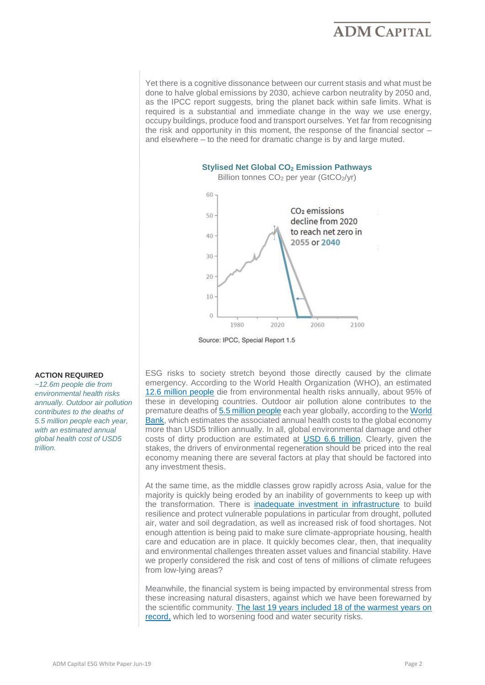Yet there is a cognitive dissonance between our current stasis and what must be done to halve global emissions by 2030, achieve carbon neutrality by 2050 and, as the IPCC report suggests, bring the planet back within safe limits. What is required is a substantial and immediate change in the way we use energy, occupy buildings, produce food and transport ourselves. Yet far from recognising the risk and opportunity in this moment, the response of the financial sector – and elsewhere – to the need for dramatic change is by and large muted.



Source: IPCC, Special Report 1.5

#### **ACTION REQUIRED**

*~12.6m people die from environmental health risks annually. Outdoor air pollution contributes to the deaths of 5.5 [million people each year,](http://www.worldbank.org/en/news/press-release/2016/09/08/air-pollution-deaths-cost-global-economy-225-billion)  with an estimated annual global health cost of USD5 trillion.* 

ESG risks to society stretch beyond those directly caused by the climate emergency. According to the World Health Organization (WHO), an estimated [12.6 million people](https://www.worldbank.org/en/topic/pollution) die from environmental health risks annually, about 95% of these in developing countries. Outdoor air pollution alone contributes to the premature deaths of [5.5 million people](https://www.who.int/en/news-room/fact-sheets/detail/ambient-(outdoor)-air-quality-and-health) each year globally, according to the [World](http://www.worldbank.org/en/news/press-release/2016/09/08/air-pollution-deaths-cost-global-economy-225-billion)  Bank, which estimates the associated annual health costs to the global economy more than USD5 trillion annually. In all, global environmental damage and other costs of dirty production are estimated at [USD 6.6 trillion.](https://www.unepfi.org/fileadmin/documents/universal_ownership.pdf) Clearly, given the stakes, the drivers of environmental regeneration should be priced into the real economy meaning there are several factors at play that should be factored into any investment thesis.

At the same time, as the middle classes grow rapidly across Asia, value for the majority is quickly being eroded by an inability of governments to keep up with the transformation. There is [inadequate investment in infrastructure](https://www.weforum.org/agenda/2015/10/why-infrastructure-investment-is-key-to-ending-poverty/) to build resilience and protect vulnerable populations in particular from drought, polluted air, water and soil degradation, as well as increased risk of food shortages. Not enough attention is being paid to make sure climate-appropriate housing, health care and education are in place. It quickly becomes clear, then, that inequality and environmental challenges threaten asset values and financial stability. Have we properly considered the risk and cost of tens of millions of climate refugees from low-lying areas?

Meanwhile, the financial system is being impacted by environmental stress from these increasing natural disasters, against which we have been forewarned by the scientific community. The last 19 years [included 18 of the warmest years on](https://newclimateeconomy.report/2018/)  [record,](https://newclimateeconomy.report/2018/) which led to worsening food and water security risks.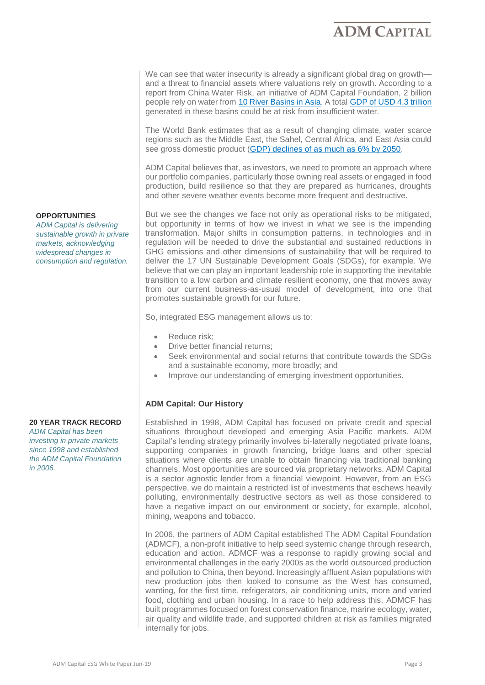We can see that water insecurity is already a significant global drag on growth and a threat to financial assets where valuations rely on growth. According to a report from China Water Risk, an initiative of ADM Capital Foundation, 2 billion people rely on water from [10 River Basins in Asia.](http://www.chinawaterrisk.org/the-big-picture/10-hkh-rivers/) A total [GDP of USD 4.3 trillion](http://www.chinawaterrisk.org/the-big-picture/gdp-at-risk/) generated in these basins could be at risk from insufficient water.

The World Bank estimates that as a result of changing climate, water scarce regions such as the Middle East, the Sahel, Central Africa, and East Asia could see gross domestic product [\(GDP\) declines of as much as 6% by 2050.](http://www.worldbank.org/en/topic/water/publication/high-and-dry-climate-change-water-and-the-economy)

ADM Capital believes that, as investors, we need to promote an approach where our portfolio companies, particularly those owning real assets or engaged in food production, build resilience so that they are prepared as hurricanes, droughts and other severe weather events become more frequent and destructive.

But we see the changes we face not only as operational risks to be mitigated, but opportunity in terms of how we invest in what we see is the impending transformation. Major shifts in consumption patterns, in technologies and in regulation will be needed to drive the substantial and sustained reductions in GHG emissions and other dimensions of sustainability that will be required to deliver the 17 UN Sustainable Development Goals (SDGs), for example. We believe that we can play an important leadership role in supporting the inevitable transition to a low carbon and climate resilient economy, one that moves away from our current business-as-usual model of development, into one that promotes sustainable growth for our future.

So, integrated ESG management allows us to:

- Reduce risk:
- Drive better financial returns;
- Seek environmental and social returns that contribute towards the SDGs and a sustainable economy, more broadly; and
- Improve our understanding of emerging investment opportunities.

#### **ADM Capital: Our History**

Established in 1998, ADM Capital has focused on private credit and special situations throughout developed and emerging Asia Pacific markets. ADM Capital's lending strategy primarily involves bi-laterally negotiated private loans, supporting companies in growth financing, bridge loans and other special situations where clients are unable to obtain financing via traditional banking channels. Most opportunities are sourced via proprietary networks. ADM Capital is a sector agnostic lender from a financial viewpoint. However, from an ESG perspective, we do maintain a restricted list of investments that eschews heavily polluting, environmentally destructive sectors as well as those considered to have a negative impact on our environment or society, for example, alcohol, mining, weapons and tobacco.

In 2006, the partners of ADM Capital established The ADM Capital Foundation (ADMCF), a non-profit initiative to help seed systemic change through research, education and action. ADMCF was a response to rapidly growing social and environmental challenges in the early 2000s as the world outsourced production and pollution to China, then beyond. Increasingly affluent Asian populations with new production jobs then looked to consume as the West has consumed, wanting, for the first time, refrigerators, air conditioning units, more and varied food, clothing and urban housing. In a race to help address this, ADMCF has built programmes focused on forest conservation finance, marine ecology, water, air quality and wildlife trade, and supported children at risk as families migrated internally for jobs.

#### **OPPORTUNITIES**

*ADM Capital is delivering sustainable growth in private markets, acknowledging widespread changes in consumption and regulation.* 

#### **20 YEAR TRACK RECORD**

*ADM Capital has been investing in private markets since 1998 and established the ADM Capital Foundation in 2006.*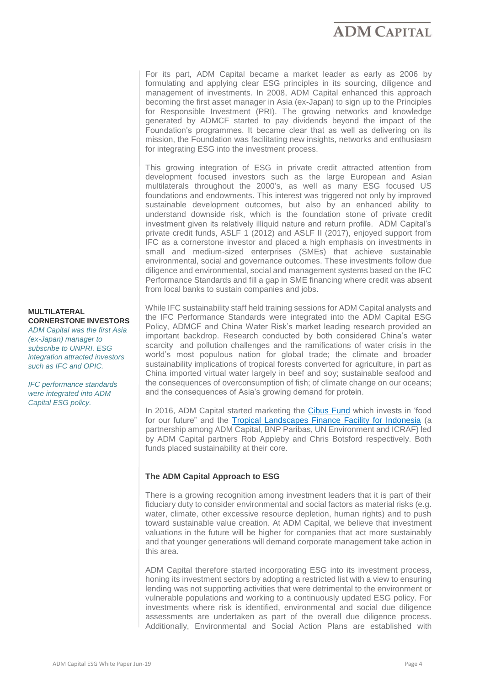For its part, ADM Capital became a market leader as early as 2006 by formulating and applying clear ESG principles in its sourcing, diligence and management of investments. In 2008, ADM Capital enhanced this approach becoming the first asset manager in Asia (ex-Japan) to sign up to the Principles for Responsible Investment (PRI). The growing networks and knowledge generated by ADMCF started to pay dividends beyond the impact of the Foundation's programmes. It became clear that as well as delivering on its mission, the Foundation was facilitating new insights, networks and enthusiasm for integrating ESG into the investment process.

This growing integration of ESG in private credit attracted attention from development focused investors such as the large European and Asian multilaterals throughout the 2000's, as well as many ESG focused US foundations and endowments. This interest was triggered not only by improved sustainable development outcomes, but also by an enhanced ability to understand downside risk, which is the foundation stone of private credit investment given its relatively illiquid nature and return profile. ADM Capital's private credit funds, ASLF 1 (2012) and ASLF II (2017), enjoyed support from IFC as a cornerstone investor and placed a high emphasis on investments in small and medium-sized enterprises (SMEs) that achieve sustainable environmental, social and governance outcomes. These investments follow due diligence and environmental, social and management systems based on the IFC Performance Standards and fill a gap in SME financing where credit was absent from local banks to sustain companies and jobs.

While IFC sustainability staff held training sessions for ADM Capital analysts and the IFC Performance Standards were integrated into the ADM Capital ESG Policy, ADMCF and China Water Risk's market leading research provided an important backdrop. Research conducted by both considered China's water scarcity and pollution challenges and the ramifications of water crisis in the world's most populous nation for global trade; the climate and broader sustainability implications of tropical forests converted for agriculture, in part as China imported virtual water largely in beef and soy; sustainable seafood and the consequences of overconsumption of fish; of climate change on our oceans; and the consequences of Asia's growing demand for protein.

In 2016, ADM Capital started marketing the [Cibus Fund](https://www.admcapital.com/cibus-fund/) which invests in 'food for our future" and the [Tropical Landscapes Finance Facility for Indonesia](https://www.admcapital.com/tropical-landscapes-finance-facility/) (a partnership among ADM Capital, BNP Paribas, UN Environment and ICRAF) led by ADM Capital partners Rob Appleby and Chris Botsford respectively. Both funds placed sustainability at their core.

#### **The ADM Capital Approach to ESG**

There is a growing recognition among investment leaders that it is part of their fiduciary duty to consider environmental and social factors as material risks (e.g. water, climate, other excessive resource depletion, human rights) and to push toward sustainable value creation. At ADM Capital, we believe that investment valuations in the future will be higher for companies that act more sustainably and that younger generations will demand corporate management take action in this area.

ADM Capital therefore started incorporating ESG into its investment process, honing its investment sectors by adopting a restricted list with a view to ensuring lending was not supporting activities that were detrimental to the environment or vulnerable populations and working to a continuously updated ESG policy. For investments where risk is identified, environmental and social due diligence assessments are undertaken as part of the overall due diligence process. Additionally, Environmental and Social Action Plans are established with

#### **MULTILATERAL CORNERSTONE INVESTORS**

*ADM Capital was the first Asia (ex-Japan) manager to subscribe to UNPRI. ESG integration attracted investors such as IFC and OPIC.*

*IFC performance standards were integrated into ADM Capital ESG policy.*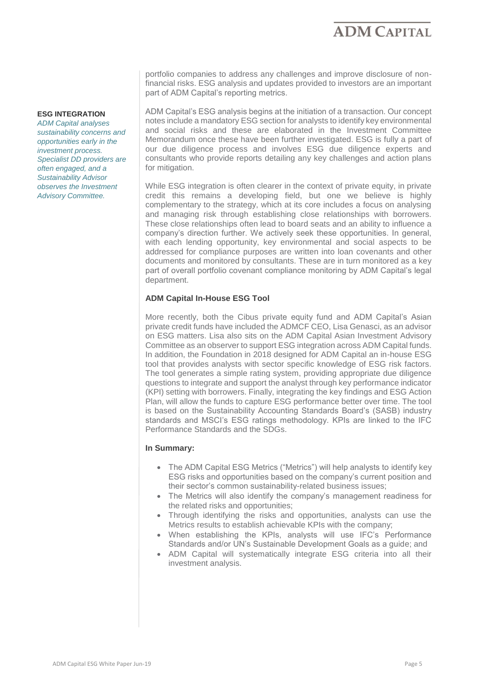portfolio companies to address any challenges and improve disclosure of nonfinancial risks. ESG analysis and updates provided to investors are an important part of ADM Capital's reporting metrics.

ADM Capital's ESG analysis begins at the initiation of a transaction. Our concept notes include a mandatory ESG section for analysts to identify key environmental and social risks and these are elaborated in the Investment Committee Memorandum once these have been further investigated. ESG is fully a part of our due diligence process and involves ESG due diligence experts and consultants who provide reports detailing any key challenges and action plans for mitigation.

While ESG integration is often clearer in the context of private equity, in private credit this remains a developing field, but one we believe is highly complementary to the strategy, which at its core includes a focus on analysing and managing risk through establishing close relationships with borrowers. These close relationships often lead to board seats and an ability to influence a company's direction further. We actively seek these opportunities. In general, with each lending opportunity, key environmental and social aspects to be addressed for compliance purposes are written into loan covenants and other documents and monitored by consultants. These are in turn monitored as a key part of overall portfolio covenant compliance monitoring by ADM Capital's legal department.

#### **ADM Capital In-House ESG Tool**

More recently, both the Cibus private equity fund and ADM Capital's Asian private credit funds have included the ADMCF CEO, Lisa Genasci, as an advisor on ESG matters. Lisa also sits on the ADM Capital Asian Investment Advisory Committee as an observer to support ESG integration across ADM Capital funds. In addition, the Foundation in 2018 designed for ADM Capital an in-house ESG tool that provides analysts with sector specific knowledge of ESG risk factors. The tool generates a simple rating system, providing appropriate due diligence questions to integrate and support the analyst through key performance indicator (KPI) setting with borrowers. Finally, integrating the key findings and ESG Action Plan, will allow the funds to capture ESG performance better over time. The tool is based on the Sustainability Accounting Standards Board's (SASB) industry standards and MSCI's ESG ratings methodology. KPIs are linked to the IFC Performance Standards and the SDGs.

#### **In Summary:**

- The ADM Capital ESG Metrics ("Metrics") will help analysts to identify key ESG risks and opportunities based on the company's current position and their sector's common sustainability-related business issues;
- The Metrics will also identify the company's management readiness for the related risks and opportunities;
- Through identifying the risks and opportunities, analysts can use the Metrics results to establish achievable KPIs with the company;
- When establishing the KPIs, analysts will use IFC's Performance Standards and/or UN's Sustainable Development Goals as a guide; and
- ADM Capital will systematically integrate ESG criteria into all their investment analysis.

#### **ESG INTEGRATION**

*ADM Capital analyses sustainability concerns and opportunities early in the investment process. Specialist DD providers are often engaged, and a Sustainability Advisor observes the Investment Advisory Committee.*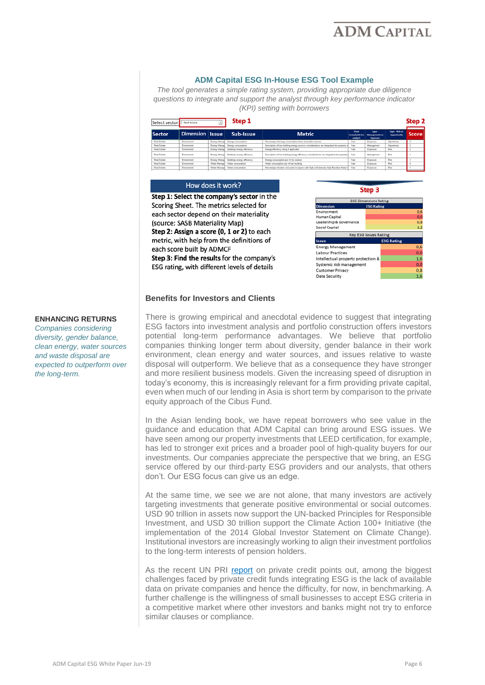

#### **ADM Capital ESG In-House ESG Tool Example**

*The tool generates a simple rating system, providing appropriate due diligence questions to integrate and support the analyst through key performance indicator (KPI) setting with borrowers*

| Step 1<br>Select sector:<br>Real Estate<br>┚ |                  |               |                                          |                                                                                                  |                                            |                                           |                               | Step 2       |  |
|----------------------------------------------|------------------|---------------|------------------------------------------|--------------------------------------------------------------------------------------------------|--------------------------------------------|-------------------------------------------|-------------------------------|--------------|--|
| <b>Sector</b>                                | <b>Dimension</b> | <b>Issue</b>  | Sub-Issue                                | <b>Metric</b>                                                                                    | Time<br><b>Granularity for</b><br>analysis | Type:<br><b>Management</b> or<br>Exposure | Type - Risk or<br>Opportunity | <b>Score</b> |  |
| Real Estate                                  | Environment      |               | Energy Manag Energy consumption          | Percentage of energy consumption from renewable sources                                          | Year                                       | Ехрович                                   | Opportunity                   |              |  |
| Real Estate                                  | Environment      |               | Energy Manag Energy consumption          | Description of how building energy sources considerations are integrated into property in        | Year                                       | Management                                | Opportunity                   |              |  |
| <b>Real Estate</b>                           | Environment      |               | Energy Manag Buildings energy efficiency | Energy efficiency rating if applicable                                                           | Year                                       | Exposure                                  | <b>Disk</b>                   |              |  |
| <b>Real Estate</b>                           | Environment      |               | Energy Manag Buildings energy efficiency | Description of how building energy efficiency considerations are integrated into property   Year |                                            | Management                                | <b>Disk</b>                   |              |  |
| <b>Real Estate</b>                           | Environment      | Energy Manage | <b>Buildings energy efficiency</b>       | Energy consumption per m <sup>e</sup> (in Joules)                                                | Year                                       | Exposure                                  | Risk                          |              |  |
| <b>Real Estate</b>                           | Environment      | Water Manager | Water consumption                        | Water consumption per m <sup>e</sup> per building                                                | Year                                       | Exposure                                  | Risk                          |              |  |
| <b>Real Estate</b>                           | Environment      |               | Water Manage Water consumption           | Percentage of water consumed in regions with High or Extremely High Baseline Water S             | Year                                       | Exposure                                  | Risk                          |              |  |

#### How does it work?

Step 1: Select the company's sector in the Scoring Sheet. The metrics selected for each sector depend on their materiality (source: SASB Materiality Map) Step 2: Assign a score (0, 1 or 2) to each metric, with help from the definitions of each score built by ADMCF Step 3: Find the results for the company's ESG rating, with different levels of details



#### **Benefits for Investors and Clients**

### **ENHANCING RETURNS**

*Companies considering diversity, gender balance, clean energy, water sources and waste disposal are expected to outperform over the long-term.*

There is growing empirical and anecdotal evidence to suggest that integrating ESG factors into investment analysis and portfolio construction offers investors potential long-term performance advantages. We believe that portfolio companies thinking longer term about diversity, gender balance in their work environment, clean energy and water sources, and issues relative to waste disposal will outperform. We believe that as a consequence they have stronger and more resilient business models. Given the increasing speed of disruption in today's economy, this is increasingly relevant for a firm providing private capital, even when much of our lending in Asia is short term by comparison to the private equity approach of the Cibus Fund.

In the Asian lending book, we have repeat borrowers who see value in the guidance and education that ADM Capital can bring around ESG issues. We have seen among our property investments that LEED certification, for example, has led to stronger exit prices and a broader pool of high-quality buyers for our investments. Our companies appreciate the perspective that we bring, an ESG service offered by our third-party ESG providers and our analysts, that others don't. Our ESG focus can give us an edge.

At the same time, we see we are not alone, that many investors are actively targeting investments that generate positive environmental or social outcomes. USD 90 trillion in assets now support the UN-backed Principles for Responsible Investment, and USD 30 trillion support the Climate Action 100+ Initiative (the implementation of the 2014 Global Investor Statement on Climate Change). Institutional investors are increasingly working to align their investment portfolios to the long-term interests of pension holders.

As the recent UN PRI [report](https://www.unpri.org/private-debt/spotlight-on-responsible-investment-in-private-debt/4048.article) on private credit points out, among the biggest challenges faced by private credit funds integrating ESG is the lack of available data on private companies and hence the difficulty, for now, in benchmarking. A further challenge is the willingness of small businesses to accept ESG criteria in a competitive market where other investors and banks might not try to enforce similar clauses or compliance.